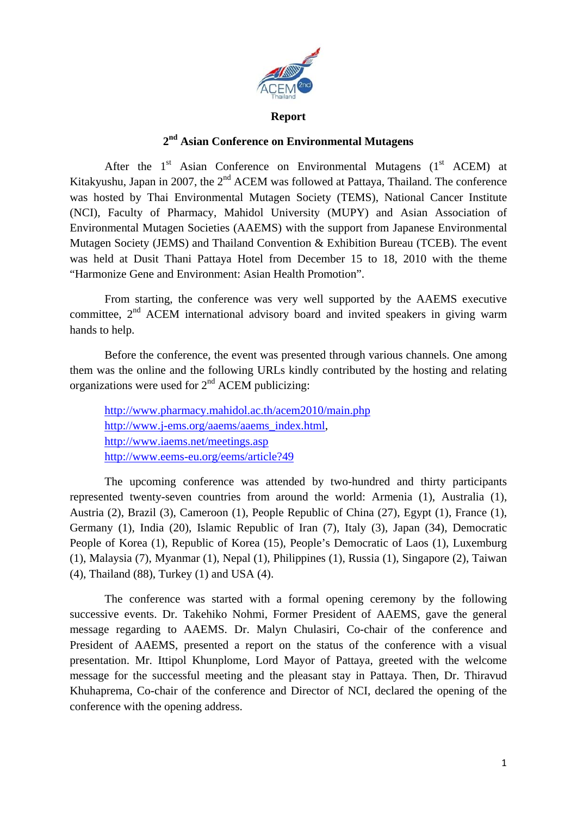

## **Report**

## **2nd Asian Conference on Environmental Mutagens**

After the  $1<sup>st</sup>$  Asian Conference on Environmental Mutagens ( $1<sup>st</sup>$  ACEM) at Kitakyushu, Japan in 2007, the  $2<sup>nd</sup>$  ACEM was followed at Pattaya, Thailand. The conference was hosted by Thai Environmental Mutagen Society (TEMS), National Cancer Institute (NCI), Faculty of Pharmacy, Mahidol University (MUPY) and Asian Association of Environmental Mutagen Societies (AAEMS) with the support from Japanese Environmental Mutagen Society (JEMS) and Thailand Convention & Exhibition Bureau (TCEB). The event was held at Dusit Thani Pattaya Hotel from December 15 to 18, 2010 with the theme "Harmonize Gene and Environment: Asian Health Promotion".

From starting, the conference was very well supported by the AAEMS executive committee,  $2<sup>nd</sup>$  ACEM international advisory board and invited speakers in giving warm hands to help.

Before the conference, the event was presented through various channels. One among them was the online and the following URLs kindly contributed by the hosting and relating organizations were used for  $2<sup>nd</sup>$  ACEM publicizing:

http://www.pharmacy.mahidol.ac.th/acem2010/main.php http://www.j-ems.org/aaems/aaems\_index.html, http://www.iaems.net/meetings.asp http://www.eems-eu.org/eems/article?49

The upcoming conference was attended by two-hundred and thirty participants represented twenty-seven countries from around the world: Armenia (1), Australia (1), Austria (2), Brazil (3), Cameroon (1), People Republic of China (27), Egypt (1), France (1), Germany (1), India (20), Islamic Republic of Iran (7), Italy (3), Japan (34), Democratic People of Korea (1), Republic of Korea (15), People's Democratic of Laos (1), Luxemburg (1), Malaysia (7), Myanmar (1), Nepal (1), Philippines (1), Russia (1), Singapore (2), Taiwan (4), Thailand (88), Turkey (1) and USA (4).

The conference was started with a formal opening ceremony by the following successive events. Dr. Takehiko Nohmi, Former President of AAEMS, gave the general message regarding to AAEMS. Dr. Malyn Chulasiri, Co-chair of the conference and President of AAEMS, presented a report on the status of the conference with a visual presentation. Mr. Ittipol Khunplome, Lord Mayor of Pattaya, greeted with the welcome message for the successful meeting and the pleasant stay in Pattaya. Then, Dr. Thiravud Khuhaprema, Co-chair of the conference and Director of NCI, declared the opening of the conference with the opening address.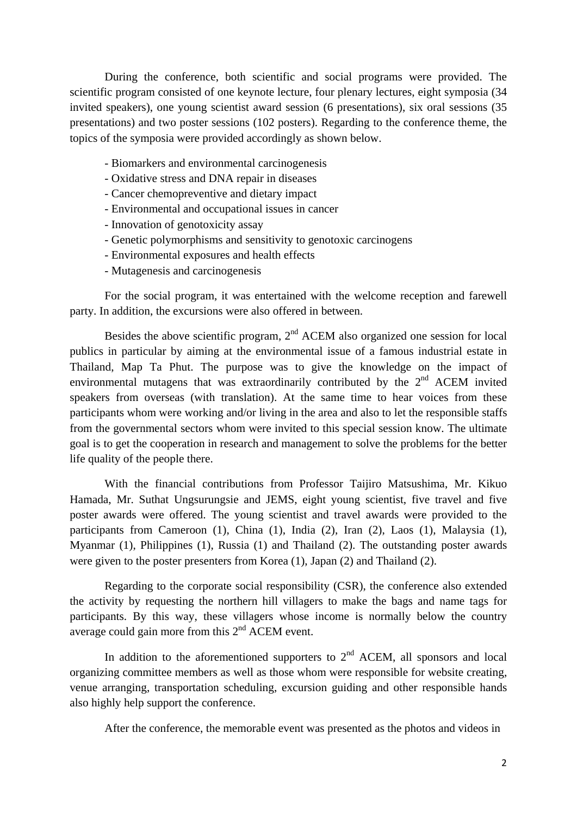During the conference, both scientific and social programs were provided. The scientific program consisted of one keynote lecture, four plenary lectures, eight symposia (34 invited speakers), one young scientist award session (6 presentations), six oral sessions (35 presentations) and two poster sessions (102 posters). Regarding to the conference theme, the topics of the symposia were provided accordingly as shown below.

- Biomarkers and environmental carcinogenesis
- Oxidative stress and DNA repair in diseases
- Cancer chemopreventive and dietary impact
- Environmental and occupational issues in cancer
- Innovation of genotoxicity assay
- Genetic polymorphisms and sensitivity to genotoxic carcinogens
- Environmental exposures and health effects
- Mutagenesis and carcinogenesis

For the social program, it was entertained with the welcome reception and farewell party. In addition, the excursions were also offered in between.

Besides the above scientific program,  $2<sup>nd</sup>$  ACEM also organized one session for local publics in particular by aiming at the environmental issue of a famous industrial estate in Thailand, Map Ta Phut. The purpose was to give the knowledge on the impact of environmental mutagens that was extraordinarily contributed by the  $2<sup>nd</sup>$  ACEM invited speakers from overseas (with translation). At the same time to hear voices from these participants whom were working and/or living in the area and also to let the responsible staffs from the governmental sectors whom were invited to this special session know. The ultimate goal is to get the cooperation in research and management to solve the problems for the better life quality of the people there.

With the financial contributions from Professor Taijiro Matsushima, Mr. Kikuo Hamada, Mr. Suthat Ungsurungsie and JEMS, eight young scientist, five travel and five poster awards were offered. The young scientist and travel awards were provided to the participants from Cameroon (1), China (1), India (2), Iran (2), Laos (1), Malaysia (1), Myanmar (1), Philippines (1), Russia (1) and Thailand (2). The outstanding poster awards were given to the poster presenters from Korea (1), Japan (2) and Thailand (2).

Regarding to the corporate social responsibility (CSR), the conference also extended the activity by requesting the northern hill villagers to make the bags and name tags for participants. By this way, these villagers whose income is normally below the country average could gain more from this  $2<sup>nd</sup>$  ACEM event.

In addition to the aforementioned supporters to  $2<sup>nd</sup>$  ACEM, all sponsors and local organizing committee members as well as those whom were responsible for website creating, venue arranging, transportation scheduling, excursion guiding and other responsible hands also highly help support the conference.

After the conference, the memorable event was presented as the photos and videos in